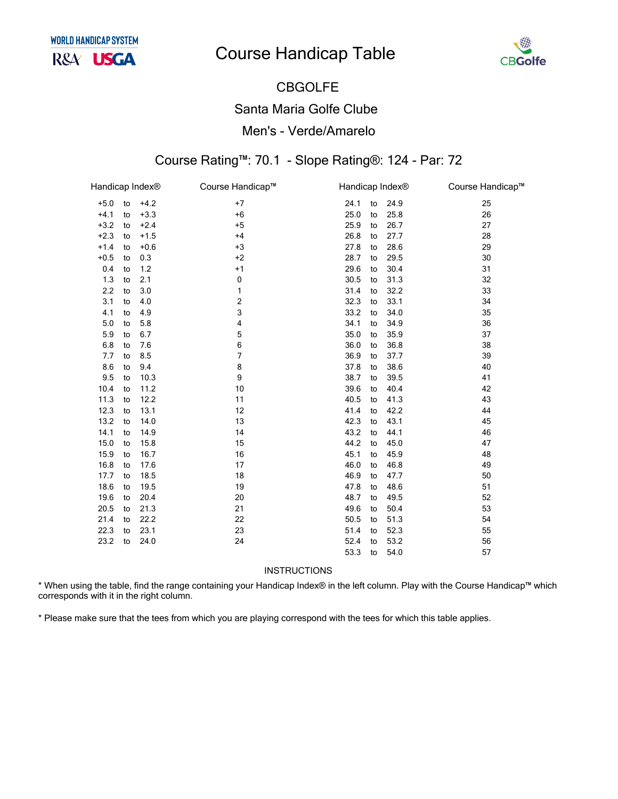# **Course Handicap Table**



# **CBGOLFE Santa Maria Golfe Clube** Men's - Verde/Amarelo

#### Course Rating™: 70.1 - Slope Rating®: 124 - Par: 72

| Handicap Index® |    |        | Course Handicap™ | Handicap Index® |    |      | Course Handicap™ |
|-----------------|----|--------|------------------|-----------------|----|------|------------------|
| $+5.0$          | to | $+4.2$ | $+7$             | 24.1            | to | 24.9 | 25               |
| $+4.1$          | to | $+3.3$ | $+6$             | 25.0            | to | 25.8 | 26               |
| $+3.2$          | to | $+2.4$ | $+5$             | 25.9            | to | 26.7 | 27               |
| $+2.3$          | to | $+1.5$ | $+4$             | 26.8            | to | 27.7 | 28               |
| $+1.4$          | to | $+0.6$ | $+3$             | 27.8            | to | 28.6 | 29               |
| $+0.5$          | to | 0.3    | $+2$             | 28.7            | to | 29.5 | 30               |
| 0.4             | to | 1.2    | $+1$             | 29.6            | to | 30.4 | 31               |
| 1.3             | to | 2.1    | 0                | 30.5            | to | 31.3 | 32               |
| 2.2             | to | 3.0    | 1                | 31.4            | to | 32.2 | 33               |
| 3.1             | to | 4.0    | 2                | 32.3            | to | 33.1 | 34               |
| 4.1             | to | 4.9    | 3                | 33.2            | to | 34.0 | 35               |
| 5.0             | to | 5.8    | 4                | 34.1            | to | 34.9 | 36               |
| 5.9             | to | 6.7    | 5                | 35.0            | to | 35.9 | 37               |
| 6.8             | to | 7.6    | 6                | 36.0            | to | 36.8 | 38               |
| 7.7             | to | 8.5    | 7                | 36.9            | to | 37.7 | 39               |
| 8.6             | to | 9.4    | 8                | 37.8            | to | 38.6 | 40               |
| 9.5             | to | 10.3   | 9                | 38.7            | to | 39.5 | 41               |
| 10.4            | to | 11.2   | 10               | 39.6            | to | 40.4 | 42               |
| 11.3            | to | 12.2   | 11               | 40.5            | to | 41.3 | 43               |
| 12.3            | to | 13.1   | 12               | 41.4            | to | 42.2 | 44               |
| 13.2            | to | 14.0   | 13               | 42.3            | to | 43.1 | 45               |
| 14.1            | to | 14.9   | 14               | 43.2            | to | 44.1 | 46               |
| 15.0            | to | 15.8   | 15               | 44.2            | to | 45.0 | 47               |
| 15.9            | to | 16.7   | 16               | 45.1            | to | 45.9 | 48               |
| 16.8            | to | 17.6   | 17               | 46.0            | to | 46.8 | 49               |
| 17.7            | to | 18.5   | 18               | 46.9            | to | 47.7 | 50               |
| 18.6            | to | 19.5   | 19               | 47.8            | to | 48.6 | 51               |
| 19.6            | to | 20.4   | 20               | 48.7            | to | 49.5 | 52               |
| 20.5            | to | 21.3   | 21               | 49.6            | to | 50.4 | 53               |
| 21.4            | to | 22.2   | 22               | 50.5            | to | 51.3 | 54               |
| 22.3            | to | 23.1   | 23               | 51.4            | to | 52.3 | 55               |
| 23.2            | to | 24.0   | 24               | 52.4            | to | 53.2 | 56               |
|                 |    |        |                  | 53.3            | to | 54.0 | 57               |

#### INSTRUCTIONS

\* When using the table, find the range containing your Handicap Index® in the left column. Play with the Course Handicap™ which corresponds with it in the right column.

\* Please make sure that the tees from which you are playing correspond with the tees for which this table applies.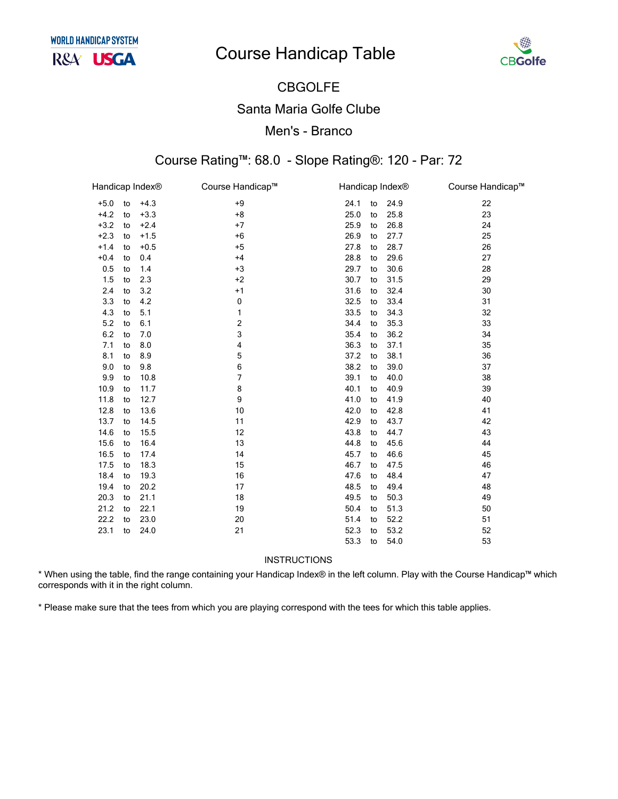# **Course Handicap Table**



## CBGOLFE Santa Maria Golfe Clube Men's - Branco

#### Course Rating™: 68.0 - Slope Rating®: 120 - Par: 72

| Handicap Index <sup>®</sup> |    |        | Course Handicap™ | Handicap Index® |      | Course Handicap™ |
|-----------------------------|----|--------|------------------|-----------------|------|------------------|
| $+5.0$                      | to | $+4.3$ | $+9$             | 24.1<br>to      | 24.9 | 22               |
| $+4.2$                      | to | $+3.3$ | $+8$             | 25.0<br>to      | 25.8 | 23               |
| $+3.2$                      | to | $+2.4$ | $+7$             | 25.9<br>to      | 26.8 | 24               |
| $+2.3$                      | to | $+1.5$ | $+6$             | 26.9<br>to      | 27.7 | 25               |
| $+1.4$                      | to | $+0.5$ | $+5$             | 27.8<br>to      | 28.7 | 26               |
| $+0.4$                      | to | 0.4    | $+4$             | 28.8<br>to      | 29.6 | 27               |
| 0.5                         | to | 1.4    | $+3$             | 29.7<br>to      | 30.6 | 28               |
| 1.5                         | to | 2.3    | $+2$             | 30.7<br>to      | 31.5 | 29               |
| 2.4                         | to | 3.2    | $+1$             | 31.6<br>to      | 32.4 | 30               |
| 3.3                         | to | 4.2    | $\mathbf 0$      | 32.5<br>to      | 33.4 | 31               |
| 4.3                         | to | 5.1    | 1                | 33.5<br>to      | 34.3 | 32               |
| 5.2                         | to | 6.1    | 2                | 34.4<br>to      | 35.3 | 33               |
| 6.2                         | to | 7.0    | 3                | 35.4<br>to      | 36.2 | 34               |
| 7.1                         | to | 8.0    | 4                | 36.3<br>to      | 37.1 | 35               |
| 8.1                         | to | 8.9    | 5                | 37.2<br>to      | 38.1 | 36               |
| 9.0                         | to | 9.8    | 6                | 38.2<br>to      | 39.0 | 37               |
| 9.9                         | to | 10.8   | 7                | 39.1<br>to      | 40.0 | 38               |
| 10.9                        | to | 11.7   | 8                | 40.1<br>to      | 40.9 | 39               |
| 11.8                        | to | 12.7   | 9                | 41.0<br>to      | 41.9 | 40               |
| 12.8                        | to | 13.6   | 10               | 42.0<br>to      | 42.8 | 41               |
| 13.7                        | to | 14.5   | 11               | 42.9<br>to      | 43.7 | 42               |
| 14.6                        | to | 15.5   | 12               | 43.8<br>to      | 44.7 | 43               |
| 15.6                        | to | 16.4   | 13               | 44.8<br>to      | 45.6 | 44               |
| 16.5                        | to | 17.4   | 14               | 45.7<br>to      | 46.6 | 45               |
| 17.5                        | to | 18.3   | 15               | 46.7<br>to      | 47.5 | 46               |
| 18.4                        | to | 19.3   | 16               | 47.6<br>to      | 48.4 | 47               |
| 19.4                        | to | 20.2   | 17               | 48.5<br>to      | 49.4 | 48               |
| 20.3                        | to | 21.1   | 18               | 49.5<br>to      | 50.3 | 49               |
| 21.2                        | to | 22.1   | 19               | 50.4<br>to      | 51.3 | 50               |
| 22.2                        | to | 23.0   | 20               | 51.4<br>to      | 52.2 | 51               |
| 23.1                        | to | 24.0   | 21               | 52.3<br>to      | 53.2 | 52               |
|                             |    |        |                  | 53.3<br>to      | 54.0 | 53               |

**INSTRUCTIONS** 

\* When using the table, find the range containing your Handicap Index® in the left column. Play with the Course Handicap™ which corresponds with it in the right column.

\* Please make sure that the tees from which you are playing correspond with the tees for which this table applies.